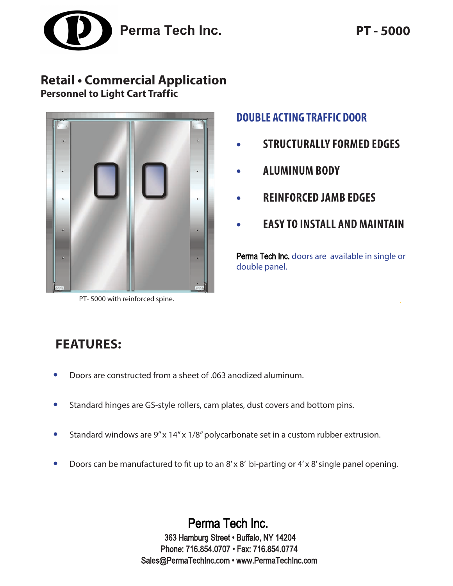

## **Retail • Commercial Application Personnel to Light Cart Traffic**



PT- 5000 with reinforced spine.

## **DOUBLE ACTING TRAFFIC DOOR**

- **• STRUCTURALLY FORMED EDGES**
- **• ALUMINUM BODY**
- **• REINFORCED JAMB EDGES**
- **• EASY TO INSTALL AND MAINTAIN**

Perma Tech Inc. doors are available in single or double panel.

# **FEATURES:**

- **•** Doors are constructed from a sheet of .063 anodized aluminum.
- **•** Standard hinges are GS-style rollers, cam plates, dust covers and bottom pins.
- Standard windows are 9" x 14" x 1/8" polycarbonate set in a custom rubber extrusion.
- **•** Doors can be manufactured to fit up to an 8' x 8' bi-parting or 4' x 8' single panel opening.

Perma Tech Inc. 363 Hamburg Street • Buffalo, NY 14204 Phone: 716.854.0707 • Fax: 716.854.0774 Sales@PermaTechInc.com • www.PermaTechInc.com